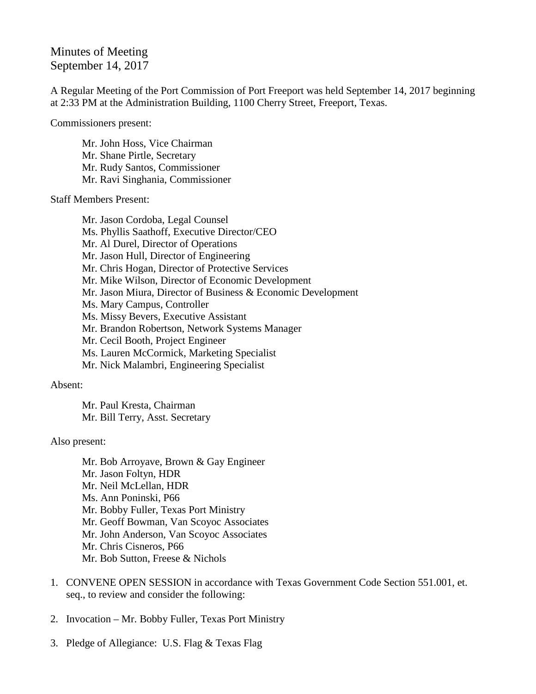## Minutes of Meeting September 14, 2017

A Regular Meeting of the Port Commission of Port Freeport was held September 14, 2017 beginning at 2:33 PM at the Administration Building, 1100 Cherry Street, Freeport, Texas.

Commissioners present:

Mr. John Hoss, Vice Chairman Mr. Shane Pirtle, Secretary Mr. Rudy Santos, Commissioner Mr. Ravi Singhania, Commissioner

Staff Members Present:

Mr. Jason Cordoba, Legal Counsel Ms. Phyllis Saathoff, Executive Director/CEO Mr. Al Durel, Director of Operations Mr. Jason Hull, Director of Engineering Mr. Chris Hogan, Director of Protective Services Mr. Mike Wilson, Director of Economic Development Mr. Jason Miura, Director of Business & Economic Development Ms. Mary Campus, Controller Ms. Missy Bevers, Executive Assistant Mr. Brandon Robertson, Network Systems Manager Mr. Cecil Booth, Project Engineer Ms. Lauren McCormick, Marketing Specialist Mr. Nick Malambri, Engineering Specialist

Absent:

Mr. Paul Kresta, Chairman Mr. Bill Terry, Asst. Secretary

## Also present:

Mr. Bob Arroyave, Brown & Gay Engineer Mr. Jason Foltyn, HDR Mr. Neil McLellan, HDR Ms. Ann Poninski, P66 Mr. Bobby Fuller, Texas Port Ministry Mr. Geoff Bowman, Van Scoyoc Associates Mr. John Anderson, Van Scoyoc Associates Mr. Chris Cisneros, P66 Mr. Bob Sutton, Freese & Nichols

- 1. CONVENE OPEN SESSION in accordance with Texas Government Code Section 551.001, et. seq., to review and consider the following:
- 2. Invocation Mr. Bobby Fuller, Texas Port Ministry
- 3. Pledge of Allegiance: U.S. Flag & Texas Flag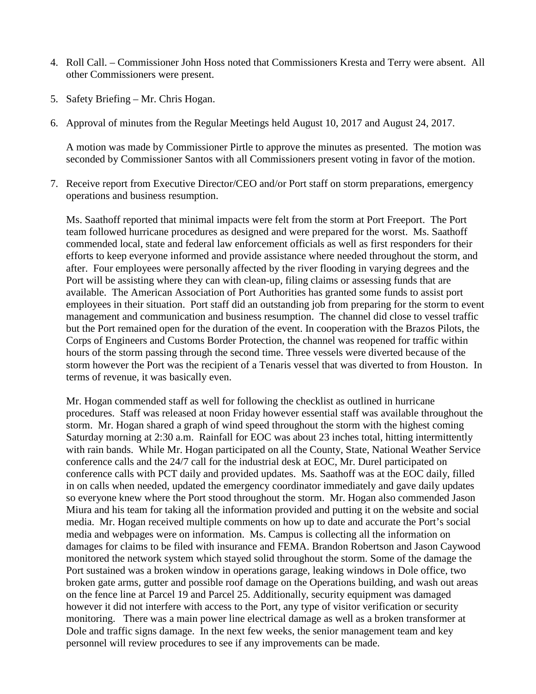- 4. Roll Call. Commissioner John Hoss noted that Commissioners Kresta and Terry were absent. All other Commissioners were present.
- 5. Safety Briefing Mr. Chris Hogan.
- 6. Approval of minutes from the Regular Meetings held August 10, 2017 and August 24, 2017.

A motion was made by Commissioner Pirtle to approve the minutes as presented. The motion was seconded by Commissioner Santos with all Commissioners present voting in favor of the motion.

7. Receive report from Executive Director/CEO and/or Port staff on storm preparations, emergency operations and business resumption.

Ms. Saathoff reported that minimal impacts were felt from the storm at Port Freeport. The Port team followed hurricane procedures as designed and were prepared for the worst. Ms. Saathoff commended local, state and federal law enforcement officials as well as first responders for their efforts to keep everyone informed and provide assistance where needed throughout the storm, and after. Four employees were personally affected by the river flooding in varying degrees and the Port will be assisting where they can with clean-up, filing claims or assessing funds that are available. The American Association of Port Authorities has granted some funds to assist port employees in their situation. Port staff did an outstanding job from preparing for the storm to event management and communication and business resumption. The channel did close to vessel traffic but the Port remained open for the duration of the event. In cooperation with the Brazos Pilots, the Corps of Engineers and Customs Border Protection, the channel was reopened for traffic within hours of the storm passing through the second time. Three vessels were diverted because of the storm however the Port was the recipient of a Tenaris vessel that was diverted to from Houston. In terms of revenue, it was basically even.

Mr. Hogan commended staff as well for following the checklist as outlined in hurricane procedures. Staff was released at noon Friday however essential staff was available throughout the storm. Mr. Hogan shared a graph of wind speed throughout the storm with the highest coming Saturday morning at 2:30 a.m. Rainfall for EOC was about 23 inches total, hitting intermittently with rain bands. While Mr. Hogan participated on all the County, State, National Weather Service conference calls and the 24/7 call for the industrial desk at EOC, Mr. Durel participated on conference calls with PCT daily and provided updates. Ms. Saathoff was at the EOC daily, filled in on calls when needed, updated the emergency coordinator immediately and gave daily updates so everyone knew where the Port stood throughout the storm. Mr. Hogan also commended Jason Miura and his team for taking all the information provided and putting it on the website and social media. Mr. Hogan received multiple comments on how up to date and accurate the Port's social media and webpages were on information. Ms. Campus is collecting all the information on damages for claims to be filed with insurance and FEMA. Brandon Robertson and Jason Caywood monitored the network system which stayed solid throughout the storm. Some of the damage the Port sustained was a broken window in operations garage, leaking windows in Dole office, two broken gate arms, gutter and possible roof damage on the Operations building, and wash out areas on the fence line at Parcel 19 and Parcel 25. Additionally, security equipment was damaged however it did not interfere with access to the Port, any type of visitor verification or security monitoring. There was a main power line electrical damage as well as a broken transformer at Dole and traffic signs damage. In the next few weeks, the senior management team and key personnel will review procedures to see if any improvements can be made.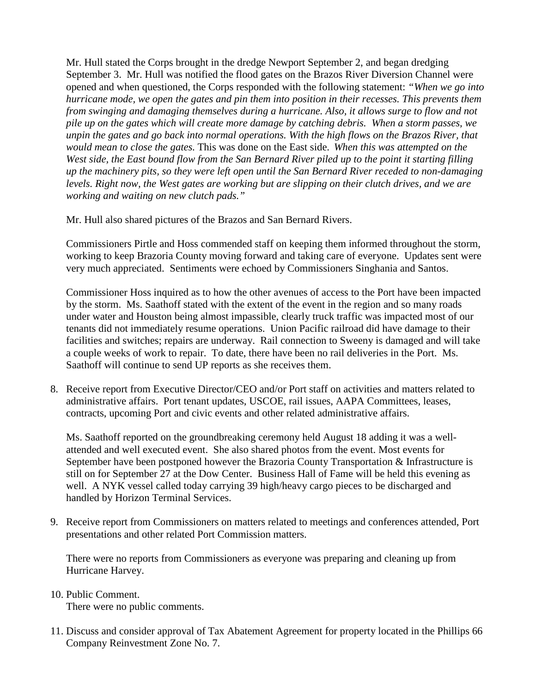Mr. Hull stated the Corps brought in the dredge Newport September 2, and began dredging September 3. Mr. Hull was notified the flood gates on the Brazos River Diversion Channel were opened and when questioned, the Corps responded with the following statement: *"When we go into hurricane mode, we open the gates and pin them into position in their recesses. This prevents them from swinging and damaging themselves during a hurricane. Also, it allows surge to flow and not pile up on the gates which will create more damage by catching debris. When a storm passes, we unpin the gates and go back into normal operations. With the high flows on the Brazos River, that would mean to close the gates.* This was done on the East side. *When this was attempted on the West side, the East bound flow from the San Bernard River piled up to the point it starting filling up the machinery pits, so they were left open until the San Bernard River receded to non-damaging levels. Right now, the West gates are working but are slipping on their clutch drives, and we are working and waiting on new clutch pads."*

Mr. Hull also shared pictures of the Brazos and San Bernard Rivers.

Commissioners Pirtle and Hoss commended staff on keeping them informed throughout the storm, working to keep Brazoria County moving forward and taking care of everyone. Updates sent were very much appreciated. Sentiments were echoed by Commissioners Singhania and Santos.

Commissioner Hoss inquired as to how the other avenues of access to the Port have been impacted by the storm. Ms. Saathoff stated with the extent of the event in the region and so many roads under water and Houston being almost impassible, clearly truck traffic was impacted most of our tenants did not immediately resume operations. Union Pacific railroad did have damage to their facilities and switches; repairs are underway. Rail connection to Sweeny is damaged and will take a couple weeks of work to repair. To date, there have been no rail deliveries in the Port. Ms. Saathoff will continue to send UP reports as she receives them.

8. Receive report from Executive Director/CEO and/or Port staff on activities and matters related to administrative affairs. Port tenant updates, USCOE, rail issues, AAPA Committees, leases, contracts, upcoming Port and civic events and other related administrative affairs.

Ms. Saathoff reported on the groundbreaking ceremony held August 18 adding it was a wellattended and well executed event. She also shared photos from the event. Most events for September have been postponed however the Brazoria County Transportation & Infrastructure is still on for September 27 at the Dow Center. Business Hall of Fame will be held this evening as well. A NYK vessel called today carrying 39 high/heavy cargo pieces to be discharged and handled by Horizon Terminal Services.

9. Receive report from Commissioners on matters related to meetings and conferences attended, Port presentations and other related Port Commission matters.

There were no reports from Commissioners as everyone was preparing and cleaning up from Hurricane Harvey.

## 10. Public Comment.

There were no public comments.

11. Discuss and consider approval of Tax Abatement Agreement for property located in the Phillips 66 Company Reinvestment Zone No. 7.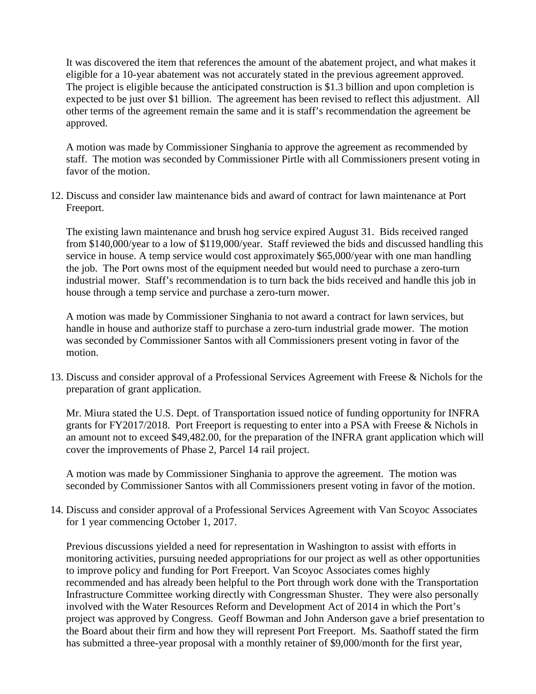It was discovered the item that references the amount of the abatement project, and what makes it eligible for a 10-year abatement was not accurately stated in the previous agreement approved. The project is eligible because the anticipated construction is \$1.3 billion and upon completion is expected to be just over \$1 billion. The agreement has been revised to reflect this adjustment. All other terms of the agreement remain the same and it is staff's recommendation the agreement be approved.

A motion was made by Commissioner Singhania to approve the agreement as recommended by staff. The motion was seconded by Commissioner Pirtle with all Commissioners present voting in favor of the motion.

12. Discuss and consider law maintenance bids and award of contract for lawn maintenance at Port Freeport.

The existing lawn maintenance and brush hog service expired August 31. Bids received ranged from \$140,000/year to a low of \$119,000/year. Staff reviewed the bids and discussed handling this service in house. A temp service would cost approximately \$65,000/year with one man handling the job. The Port owns most of the equipment needed but would need to purchase a zero-turn industrial mower. Staff's recommendation is to turn back the bids received and handle this job in house through a temp service and purchase a zero-turn mower.

A motion was made by Commissioner Singhania to not award a contract for lawn services, but handle in house and authorize staff to purchase a zero-turn industrial grade mower. The motion was seconded by Commissioner Santos with all Commissioners present voting in favor of the motion.

13. Discuss and consider approval of a Professional Services Agreement with Freese & Nichols for the preparation of grant application.

Mr. Miura stated the U.S. Dept. of Transportation issued notice of funding opportunity for INFRA grants for FY2017/2018. Port Freeport is requesting to enter into a PSA with Freese & Nichols in an amount not to exceed \$49,482.00, for the preparation of the INFRA grant application which will cover the improvements of Phase 2, Parcel 14 rail project.

A motion was made by Commissioner Singhania to approve the agreement. The motion was seconded by Commissioner Santos with all Commissioners present voting in favor of the motion.

14. Discuss and consider approval of a Professional Services Agreement with Van Scoyoc Associates for 1 year commencing October 1, 2017.

Previous discussions yielded a need for representation in Washington to assist with efforts in monitoring activities, pursuing needed appropriations for our project as well as other opportunities to improve policy and funding for Port Freeport. Van Scoyoc Associates comes highly recommended and has already been helpful to the Port through work done with the Transportation Infrastructure Committee working directly with Congressman Shuster. They were also personally involved with the Water Resources Reform and Development Act of 2014 in which the Port's project was approved by Congress. Geoff Bowman and John Anderson gave a brief presentation to the Board about their firm and how they will represent Port Freeport. Ms. Saathoff stated the firm has submitted a three-year proposal with a monthly retainer of \$9,000/month for the first year,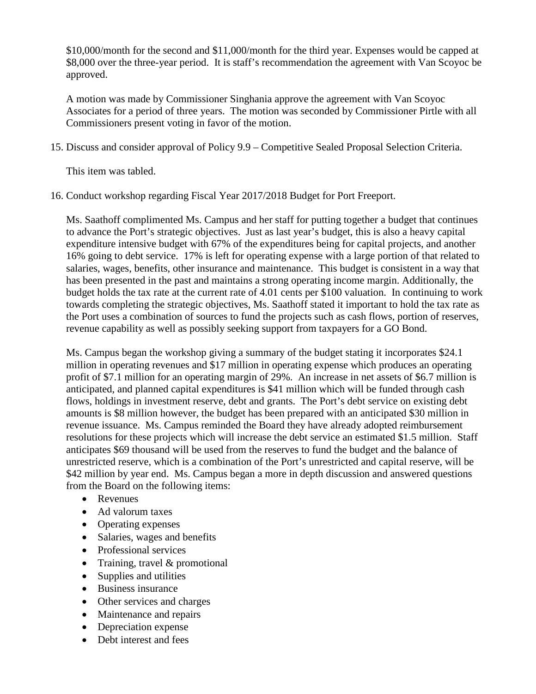\$10,000/month for the second and \$11,000/month for the third year. Expenses would be capped at \$8,000 over the three-year period. It is staff's recommendation the agreement with Van Scoyoc be approved.

A motion was made by Commissioner Singhania approve the agreement with Van Scoyoc Associates for a period of three years. The motion was seconded by Commissioner Pirtle with all Commissioners present voting in favor of the motion.

15. Discuss and consider approval of Policy 9.9 – Competitive Sealed Proposal Selection Criteria.

This item was tabled.

16. Conduct workshop regarding Fiscal Year 2017/2018 Budget for Port Freeport.

Ms. Saathoff complimented Ms. Campus and her staff for putting together a budget that continues to advance the Port's strategic objectives. Just as last year's budget, this is also a heavy capital expenditure intensive budget with 67% of the expenditures being for capital projects, and another 16% going to debt service. 17% is left for operating expense with a large portion of that related to salaries, wages, benefits, other insurance and maintenance. This budget is consistent in a way that has been presented in the past and maintains a strong operating income margin. Additionally, the budget holds the tax rate at the current rate of 4.01 cents per \$100 valuation. In continuing to work towards completing the strategic objectives, Ms. Saathoff stated it important to hold the tax rate as the Port uses a combination of sources to fund the projects such as cash flows, portion of reserves, revenue capability as well as possibly seeking support from taxpayers for a GO Bond.

Ms. Campus began the workshop giving a summary of the budget stating it incorporates \$24.1 million in operating revenues and \$17 million in operating expense which produces an operating profit of \$7.1 million for an operating margin of 29%. An increase in net assets of \$6.7 million is anticipated, and planned capital expenditures is \$41 million which will be funded through cash flows, holdings in investment reserve, debt and grants. The Port's debt service on existing debt amounts is \$8 million however, the budget has been prepared with an anticipated \$30 million in revenue issuance. Ms. Campus reminded the Board they have already adopted reimbursement resolutions for these projects which will increase the debt service an estimated \$1.5 million. Staff anticipates \$69 thousand will be used from the reserves to fund the budget and the balance of unrestricted reserve, which is a combination of the Port's unrestricted and capital reserve, will be \$42 million by year end. Ms. Campus began a more in depth discussion and answered questions from the Board on the following items:

- Revenues
- Ad valorum taxes
- Operating expenses
- Salaries, wages and benefits
- Professional services
- Training, travel & promotional
- Supplies and utilities
- Business insurance
- Other services and charges
- Maintenance and repairs
- Depreciation expense
- Debt interest and fees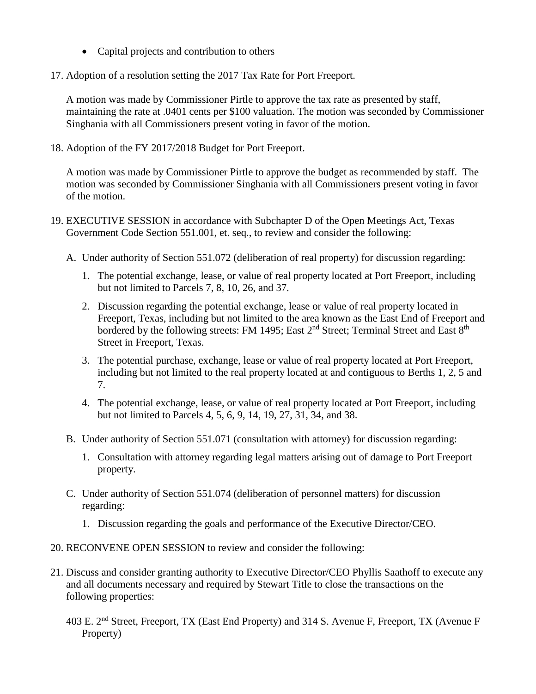- Capital projects and contribution to others
- 17. Adoption of a resolution setting the 2017 Tax Rate for Port Freeport.

A motion was made by Commissioner Pirtle to approve the tax rate as presented by staff, maintaining the rate at .0401 cents per \$100 valuation. The motion was seconded by Commissioner Singhania with all Commissioners present voting in favor of the motion.

18. Adoption of the FY 2017/2018 Budget for Port Freeport.

A motion was made by Commissioner Pirtle to approve the budget as recommended by staff. The motion was seconded by Commissioner Singhania with all Commissioners present voting in favor of the motion.

- 19. EXECUTIVE SESSION in accordance with Subchapter D of the Open Meetings Act, Texas Government Code Section 551.001, et. seq., to review and consider the following:
	- A. Under authority of Section 551.072 (deliberation of real property) for discussion regarding:
		- 1. The potential exchange, lease, or value of real property located at Port Freeport, including but not limited to Parcels 7, 8, 10, 26, and 37.
		- 2. Discussion regarding the potential exchange, lease or value of real property located in Freeport, Texas, including but not limited to the area known as the East End of Freeport and bordered by the following streets: FM 1495; East 2<sup>nd</sup> Street; Terminal Street and East 8<sup>th</sup> Street in Freeport, Texas.
		- 3. The potential purchase, exchange, lease or value of real property located at Port Freeport, including but not limited to the real property located at and contiguous to Berths 1, 2, 5 and 7.
		- 4. The potential exchange, lease, or value of real property located at Port Freeport, including but not limited to Parcels 4, 5, 6, 9, 14, 19, 27, 31, 34, and 38.
	- B. Under authority of Section 551.071 (consultation with attorney) for discussion regarding:
		- 1. Consultation with attorney regarding legal matters arising out of damage to Port Freeport property.
	- C. Under authority of Section 551.074 (deliberation of personnel matters) for discussion regarding:
		- 1. Discussion regarding the goals and performance of the Executive Director/CEO.
- 20. RECONVENE OPEN SESSION to review and consider the following:
- 21. Discuss and consider granting authority to Executive Director/CEO Phyllis Saathoff to execute any and all documents necessary and required by Stewart Title to close the transactions on the following properties:
	- 403 E. 2nd Street, Freeport, TX (East End Property) and 314 S. Avenue F, Freeport, TX (Avenue F Property)